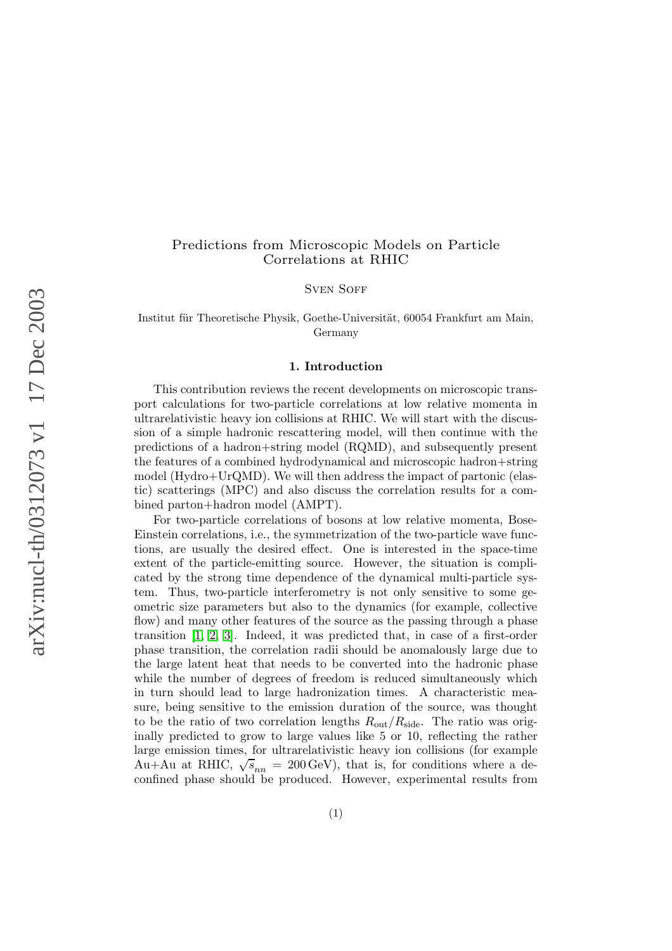# Predictions from Microscopic Models on Particle Correlations at RHIC

SVEN SOFF

Institut für Theoretische Physik, Goethe-Universität, 60054 Frankfurt am Main, Germany

### 1. Introduction

This contribution reviews the recent developments on microscopic transport calculations for two-particle correlations at low relative momenta in ultrarelativistic heavy ion collisions at RHIC. We will start with the discussion of a simple hadronic rescattering model, will then continue with the predictions of a hadron+string model (RQMD), and subsequently present the features of a combined hydrodynamical and microscopic hadron+string model (Hydro+UrQMD). We will then address the impact of partonic (elastic) scatterings (MPC) and also discuss the correlation results for a combined parton+hadron model (AMPT).

For two-particle correlations of bosons at low relative momenta, Bose-Einstein correlations, i.e., the symmetrization of the two-particle wave functions, are usually the desired effect. One is interested in the space-time extent of the particle-emitting source. However, the situation is complicated by the strong time dependence of the dynamical multi-particle system. Thus, two-particle interferometry is not only sensitive to some geometric size parameters but also to the dynamics (for example, collective flow) and many other features of the source as the passing through a phase transition [\[1,](#page-4-0) [2,](#page-4-1) [3\]](#page-4-2). Indeed, it was predicted that, in case of a first-order phase transition, the correlation radii should be anomalously large due to the large latent heat that needs to be converted into the hadronic phase while the number of degrees of freedom is reduced simultaneously which in turn should lead to large hadronization times. A characteristic measure, being sensitive to the emission duration of the source, was thought to be the ratio of two correlation lengths  $R_{\text{out}}/R_{\text{side}}$ . The ratio was originally predicted to grow to large values like 5 or 10, reflecting the rather large emission times, for ultrarelativistic heavy ion collisions (for example Au+Au at RHIC,  $\sqrt{s_{nn}}$  = 200 GeV), that is, for conditions where a deconfined phase should be produced. However, experimental results from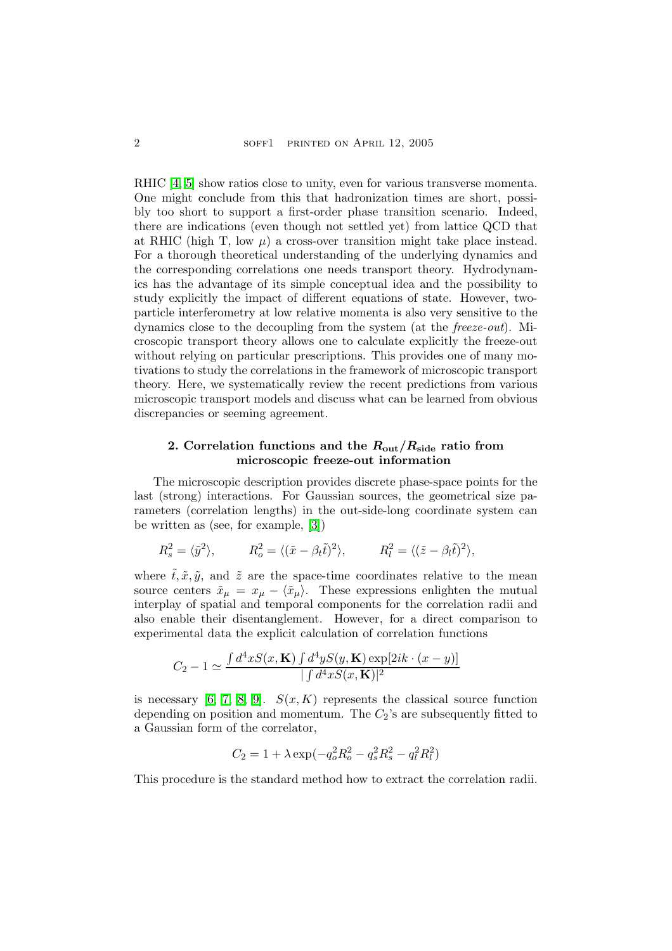RHIC [\[4,](#page-4-3) [5\]](#page-4-4) show ratios close to unity, even for various transverse momenta. One might conclude from this that hadronization times are short, possibly too short to support a first-order phase transition scenario. Indeed, there are indications (even though not settled yet) from lattice QCD that at RHIC (high T, low  $\mu$ ) a cross-over transition might take place instead. For a thorough theoretical understanding of the underlying dynamics and the corresponding correlations one needs transport theory. Hydrodynamics has the advantage of its simple conceptual idea and the possibility to study explicitly the impact of different equations of state. However, twoparticle interferometry at low relative momenta is also very sensitive to the dynamics close to the decoupling from the system (at the freeze-out). Microscopic transport theory allows one to calculate explicitly the freeze-out without relying on particular prescriptions. This provides one of many motivations to study the correlations in the framework of microscopic transport theory. Here, we systematically review the recent predictions from various microscopic transport models and discuss what can be learned from obvious discrepancies or seeming agreement.

## 2. Correlation functions and the  $R_{\text{out}}/R_{\text{side}}$  ratio from microscopic freeze-out information

The microscopic description provides discrete phase-space points for the last (strong) interactions. For Gaussian sources, the geometrical size parameters (correlation lengths) in the out-side-long coordinate system can be written as (see, for example, [\[3\]](#page-4-2))

$$
R_s^2 = \langle \tilde{y}^2 \rangle
$$
,  $R_o^2 = \langle (\tilde{x} - \beta_t \tilde{t})^2 \rangle$ ,  $R_l^2 = \langle (\tilde{z} - \beta_l \tilde{t})^2 \rangle$ ,

where  $\tilde{t}, \tilde{x}, \tilde{y}$ , and  $\tilde{z}$  are the space-time coordinates relative to the mean source centers  $\tilde{x}_{\mu} = x_{\mu} - \langle \tilde{x}_{\mu} \rangle$ . These expressions enlighten the mutual interplay of spatial and temporal components for the correlation radii and also enable their disentanglement. However, for a direct comparison to experimental data the explicit calculation of correlation functions

$$
C_2 - 1 \simeq \frac{\int d^4x S(x, \mathbf{K}) \int d^4y S(y, \mathbf{K}) \exp[2ik \cdot (x - y)]}{\int d^4x S(x, \mathbf{K})|^2}
$$

is necessary [\[6,](#page-4-5) [7,](#page-4-6) [8,](#page-4-7) [9\]](#page-4-8).  $S(x, K)$  represents the classical source function depending on position and momentum. The  $C_2$ 's are subsequently fitted to a Gaussian form of the correlator,

$$
C_2 = 1 + \lambda \exp(-q_o^2 R_o^2 - q_s^2 R_s^2 - q_l^2 R_l^2)
$$

This procedure is the standard method how to extract the correlation radii.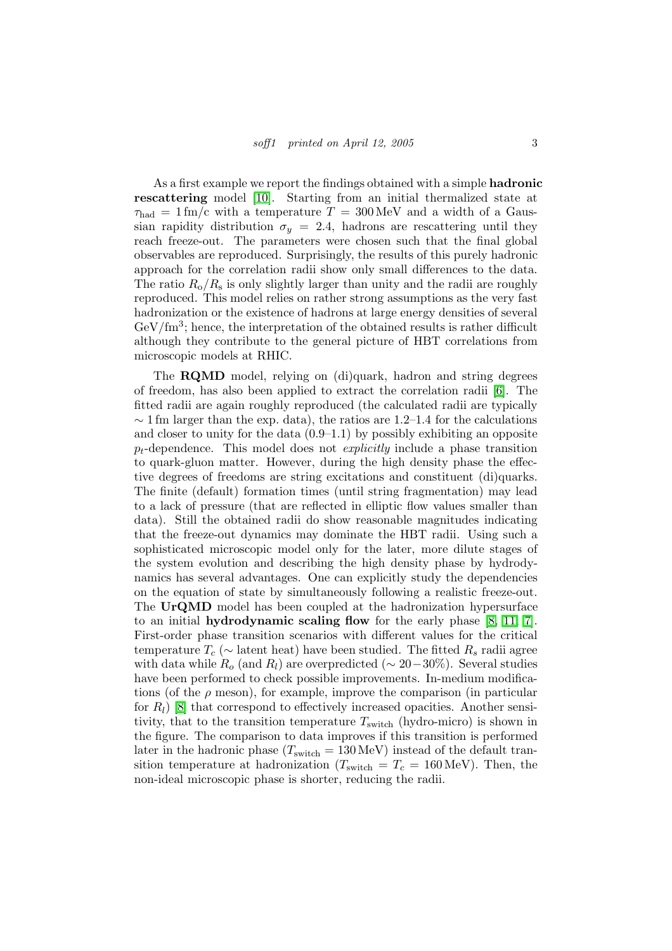As a first example we report the findings obtained with a simple hadronic rescattering model [\[10\]](#page-4-9). Starting from an initial thermalized state at  $\tau_{\text{had}} = 1 \,\text{fm/c}$  with a temperature  $T = 300 \,\text{MeV}$  and a width of a Gaussian rapidity distribution  $\sigma_y = 2.4$ , hadrons are rescattering until they reach freeze-out. The parameters were chosen such that the final global observables are reproduced. Surprisingly, the results of this purely hadronic approach for the correlation radii show only small differences to the data. The ratio  $R_{\rm o}/R_{\rm s}$  is only slightly larger than unity and the radii are roughly reproduced. This model relies on rather strong assumptions as the very fast hadronization or the existence of hadrons at large energy densities of several  $GeV/fm<sup>3</sup>$ ; hence, the interpretation of the obtained results is rather difficult although they contribute to the general picture of HBT correlations from microscopic models at RHIC.

The RQMD model, relying on (di)quark, hadron and string degrees of freedom, has also been applied to extract the correlation radii [\[6\]](#page-4-5). The fitted radii are again roughly reproduced (the calculated radii are typically  $\sim$  1 fm larger than the exp. data), the ratios are 1.2–1.4 for the calculations and closer to unity for the data  $(0.9-1.1)$  by possibly exhibiting an opposite  $p_t$ -dependence. This model does not *explicitly* include a phase transition to quark-gluon matter. However, during the high density phase the effective degrees of freedoms are string excitations and constituent (di)quarks. The finite (default) formation times (until string fragmentation) may lead to a lack of pressure (that are reflected in elliptic flow values smaller than data). Still the obtained radii do show reasonable magnitudes indicating that the freeze-out dynamics may dominate the HBT radii. Using such a sophisticated microscopic model only for the later, more dilute stages of the system evolution and describing the high density phase by hydrodynamics has several advantages. One can explicitly study the dependencies on the equation of state by simultaneously following a realistic freeze-out. The UrQMD model has been coupled at the hadronization hypersurface to an initial hydrodynamic scaling flow for the early phase  $[8, 11, 7]$  $[8, 11, 7]$  $[8, 11, 7]$ . First-order phase transition scenarios with different values for the critical temperature  $T_c$  ( $\sim$  latent heat) have been studied. The fitted  $R_s$  radii agree with data while  $R_o$  (and  $R_l$ ) are overpredicted ( $\sim 20-30\%$ ). Several studies have been performed to check possible improvements. In-medium modifications (of the  $\rho$  meson), for example, improve the comparison (in particular for  $R_l$ ) [\[8\]](#page-4-7) that correspond to effectively increased opacities. Another sensitivity, that to the transition temperature  $T_{switch}$  (hydro-micro) is shown in the figure. The comparison to data improves if this transition is performed later in the hadronic phase  $(T_{switch} = 130 \,\text{MeV})$  instead of the default transition temperature at hadronization ( $T_{\text{switch}} = T_c = 160 \,\text{MeV}$ ). Then, the non-ideal microscopic phase is shorter, reducing the radii.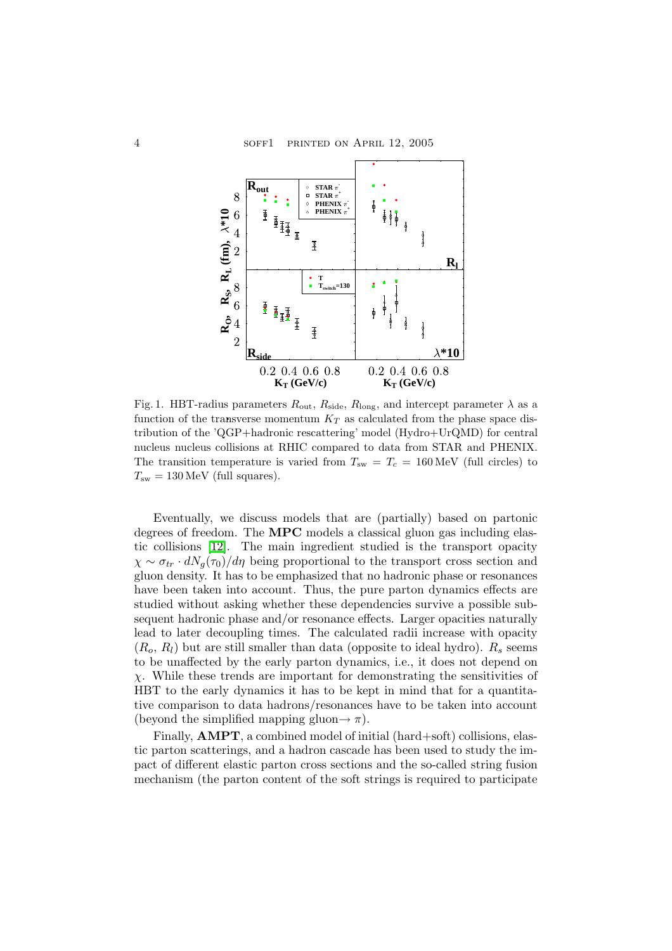

Fig. 1. HBT-radius parameters  $R_{\text{out}}$ ,  $R_{\text{side}}$ ,  $R_{\text{long}}$ , and intercept parameter  $\lambda$  as a function of the transverse momentum  $K_T$  as calculated from the phase space distribution of the 'QGP+hadronic rescattering' model (Hydro+UrQMD) for central nucleus nucleus collisions at RHIC compared to data from STAR and PHENIX. The transition temperature is varied from  $T_{sw} = T_c = 160 \,\text{MeV}$  (full circles) to  $T_{\rm sw} = 130 \,\text{MeV}$  (full squares).

Eventually, we discuss models that are (partially) based on partonic degrees of freedom. The MPC models a classical gluon gas including elastic collisions [\[12\]](#page-4-11). The main ingredient studied is the transport opacity  $\chi \sim \sigma_{tr} \cdot dN_q(\tau_0)/d\eta$  being proportional to the transport cross section and gluon density. It has to be emphasized that no hadronic phase or resonances have been taken into account. Thus, the pure parton dynamics effects are studied without asking whether these dependencies survive a possible subsequent hadronic phase and/or resonance effects. Larger opacities naturally lead to later decoupling times. The calculated radii increase with opacity  $(R_o, R_l)$  but are still smaller than data (opposite to ideal hydro).  $R_s$  seems to be unaffected by the early parton dynamics, i.e., it does not depend on  $\chi$ . While these trends are important for demonstrating the sensitivities of HBT to the early dynamics it has to be kept in mind that for a quantitative comparison to data hadrons/resonances have to be taken into account (beyond the simplified mapping gluon $\rightarrow \pi$ ).

Finally, AMPT, a combined model of initial (hard+soft) collisions, elastic parton scatterings, and a hadron cascade has been used to study the impact of different elastic parton cross sections and the so-called string fusion mechanism (the parton content of the soft strings is required to participate